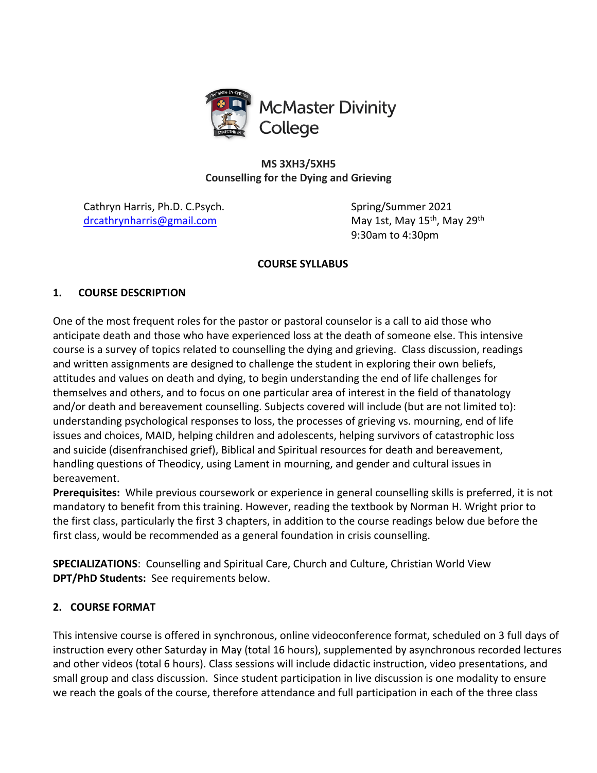

**MS 3XH3/5XH5 Counselling for the Dying and Grieving**

Cathryn Harris, Ph.D. C.Psych. Spring/Summer 2021 drcathrynharris@gmail.com May 1st, May 15<sup>th</sup>, May 29<sup>th</sup>

9:30am to 4:30pm

### **COURSE SYLLABUS**

# **1. COURSE DESCRIPTION**

One of the most frequent roles for the pastor or pastoral counselor is a call to aid those who anticipate death and those who have experienced loss at the death of someone else. This intensive course is a survey of topics related to counselling the dying and grieving. Class discussion, readings and written assignments are designed to challenge the student in exploring their own beliefs, attitudes and values on death and dying, to begin understanding the end of life challenges for themselves and others, and to focus on one particular area of interest in the field of thanatology and/or death and bereavement counselling. Subjects covered will include (but are not limited to): understanding psychological responses to loss, the processes of grieving vs. mourning, end of life issues and choices, MAID, helping children and adolescents, helping survivors of catastrophic loss and suicide (disenfranchised grief), Biblical and Spiritual resources for death and bereavement, handling questions of Theodicy, using Lament in mourning, and gender and cultural issues in bereavement.

**Prerequisites:** While previous coursework or experience in general counselling skills is preferred, it is not mandatory to benefit from this training. However, reading the textbook by Norman H. Wright prior to the first class, particularly the first 3 chapters, in addition to the course readings below due before the first class, would be recommended as a general foundation in crisis counselling.

**SPECIALIZATIONS**: Counselling and Spiritual Care, Church and Culture, Christian World View **DPT/PhD Students:** See requirements below.

## **2. COURSE FORMAT**

This intensive course is offered in synchronous, online videoconference format, scheduled on 3 full days of instruction every other Saturday in May (total 16 hours), supplemented by asynchronous recorded lectures and other videos (total 6 hours). Class sessions will include didactic instruction, video presentations, and small group and class discussion. Since student participation in live discussion is one modality to ensure we reach the goals of the course, therefore attendance and full participation in each of the three class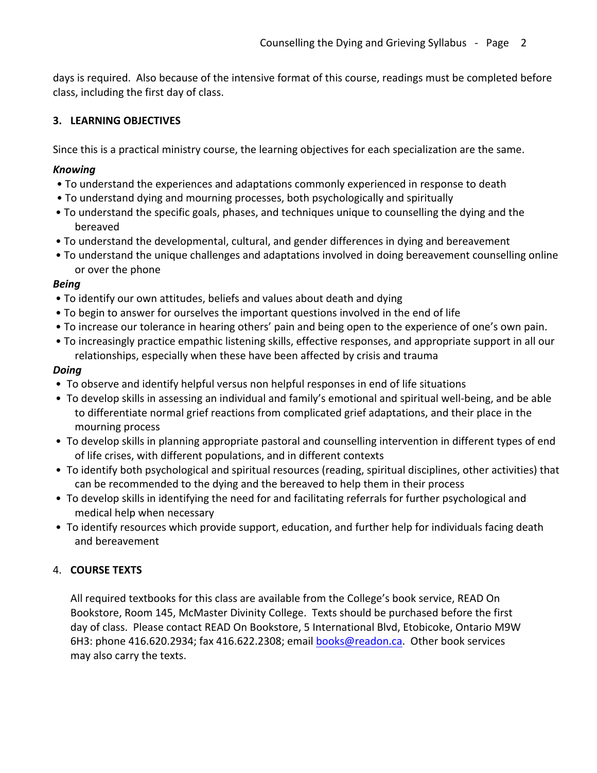days is required. Also because of the intensive format of this course, readings must be completed before class, including the first day of class.

# **3. LEARNING OBJECTIVES**

Since this is a practical ministry course, the learning objectives for each specialization are the same.

## *Knowing*

- To understand the experiences and adaptations commonly experienced in response to death
- To understand dying and mourning processes, both psychologically and spiritually
- To understand the specific goals, phases, and techniques unique to counselling the dying and the bereaved
- To understand the developmental, cultural, and gender differences in dying and bereavement
- To understand the unique challenges and adaptations involved in doing bereavement counselling online or over the phone

# *Being*

- To identify our own attitudes, beliefs and values about death and dying
- To begin to answer for ourselves the important questions involved in the end of life
- To increase our tolerance in hearing others' pain and being open to the experience of one's own pain.
- To increasingly practice empathic listening skills, effective responses, and appropriate support in all our relationships, especially when these have been affected by crisis and trauma

# *Doing*

- To observe and identify helpful versus non helpful responses in end of life situations
- To develop skills in assessing an individual and family's emotional and spiritual well-being, and be able to differentiate normal grief reactions from complicated grief adaptations, and their place in the mourning process
- To develop skills in planning appropriate pastoral and counselling intervention in different types of end of life crises, with different populations, and in different contexts
- To identify both psychological and spiritual resources (reading, spiritual disciplines, other activities) that can be recommended to the dying and the bereaved to help them in their process
- To develop skills in identifying the need for and facilitating referrals for further psychological and medical help when necessary
- To identify resources which provide support, education, and further help for individuals facing death and bereavement

# 4. **COURSE TEXTS**

All required textbooks for this class are available from the College's book service, READ On Bookstore, Room 145, McMaster Divinity College. Texts should be purchased before the first day of class. Please contact READ On Bookstore, 5 International Blvd, Etobicoke, Ontario M9W 6H3: phone 416.620.2934; fax 416.622.2308; email books@readon.ca. Other book services may also carry the texts.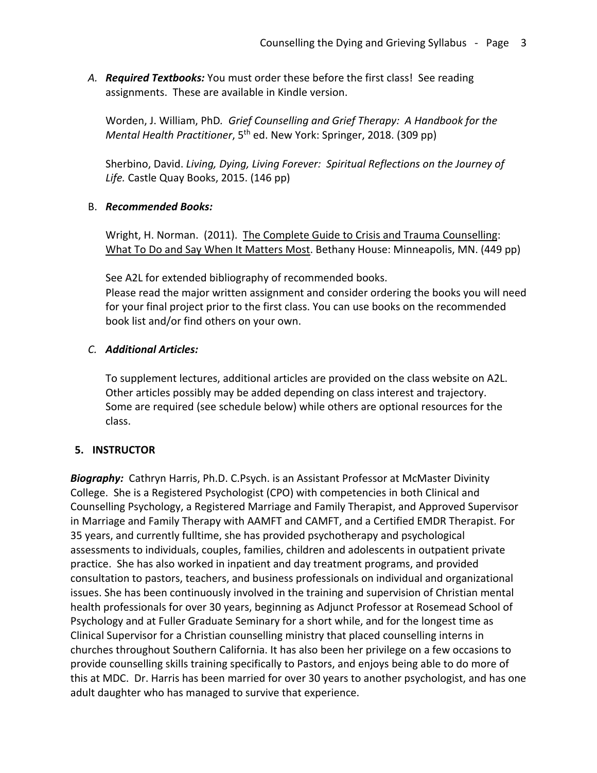*A. Required Textbooks:* You must order these before the first class! See reading assignments. These are available in Kindle version.

Worden, J. William, PhD*. Grief Counselling and Grief Therapy: A Handbook for the Mental Health Practitioner*, 5<sup>th</sup> ed. New York: Springer, 2018. (309 pp)

Sherbino, David. *Living, Dying, Living Forever: Spiritual Reflections on the Journey of Life.* Castle Quay Books, 2015. (146 pp)

### B. *Recommended Books:*

Wright, H. Norman. (2011). The Complete Guide to Crisis and Trauma Counselling: What To Do and Say When It Matters Most. Bethany House: Minneapolis, MN. (449 pp)

See A2L for extended bibliography of recommended books. Please read the major written assignment and consider ordering the books you will need for your final project prior to the first class. You can use books on the recommended book list and/or find others on your own.

## *C. Additional Articles:*

To supplement lectures, additional articles are provided on the class website on A2L. Other articles possibly may be added depending on class interest and trajectory. Some are required (see schedule below) while others are optional resources for the class.

## **5. INSTRUCTOR**

*Biography:* Cathryn Harris, Ph.D. C.Psych. is an Assistant Professor at McMaster Divinity College. She is a Registered Psychologist (CPO) with competencies in both Clinical and Counselling Psychology, a Registered Marriage and Family Therapist, and Approved Supervisor in Marriage and Family Therapy with AAMFT and CAMFT, and a Certified EMDR Therapist. For 35 years, and currently fulltime, she has provided psychotherapy and psychological assessments to individuals, couples, families, children and adolescents in outpatient private practice. She has also worked in inpatient and day treatment programs, and provided consultation to pastors, teachers, and business professionals on individual and organizational issues. She has been continuously involved in the training and supervision of Christian mental health professionals for over 30 years, beginning as Adjunct Professor at Rosemead School of Psychology and at Fuller Graduate Seminary for a short while, and for the longest time as Clinical Supervisor for a Christian counselling ministry that placed counselling interns in churches throughout Southern California. It has also been her privilege on a few occasions to provide counselling skills training specifically to Pastors, and enjoys being able to do more of this at MDC. Dr. Harris has been married for over 30 years to another psychologist, and has one adult daughter who has managed to survive that experience.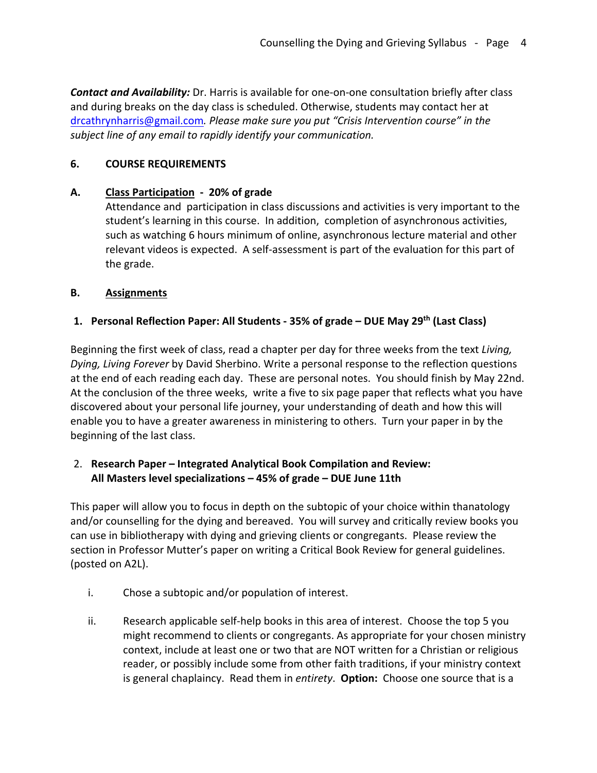*Contact and Availability:* Dr. Harris is available for one-on-one consultation briefly after class and during breaks on the day class is scheduled. Otherwise, students may contact her at drcathrynharris@gmail.com*. Please make sure you put "Crisis Intervention course" in the subject line of any email to rapidly identify your communication.*

## **6. COURSE REQUIREMENTS**

# **A. Class Participation - 20% of grade**

Attendance and participation in class discussions and activities is very important to the student's learning in this course. In addition, completion of asynchronous activities, such as watching 6 hours minimum of online, asynchronous lecture material and other relevant videos is expected. A self-assessment is part of the evaluation for this part of the grade.

# **B. Assignments**

# **1. Personal Reflection Paper: All Students - 35% of grade – DUE May 29th (Last Class)**

Beginning the first week of class, read a chapter per day for three weeks from the text *Living, Dying, Living Forever* by David Sherbino. Write a personal response to the reflection questions at the end of each reading each day. These are personal notes. You should finish by May 22nd. At the conclusion of the three weeks, write a five to six page paper that reflects what you have discovered about your personal life journey, your understanding of death and how this will enable you to have a greater awareness in ministering to others. Turn your paper in by the beginning of the last class.

# 2. **Research Paper – Integrated Analytical Book Compilation and Review: All Masters level specializations – 45% of grade – DUE June 11th**

This paper will allow you to focus in depth on the subtopic of your choice within thanatology and/or counselling for the dying and bereaved. You will survey and critically review books you can use in bibliotherapy with dying and grieving clients or congregants. Please review the section in Professor Mutter's paper on writing a Critical Book Review for general guidelines. (posted on A2L).

- i. Chose a subtopic and/or population of interest.
- ii. Research applicable self-help books in this area of interest. Choose the top 5 you might recommend to clients or congregants. As appropriate for your chosen ministry context, include at least one or two that are NOT written for a Christian or religious reader, or possibly include some from other faith traditions, if your ministry context is general chaplaincy. Read them in *entirety*. **Option:** Choose one source that is a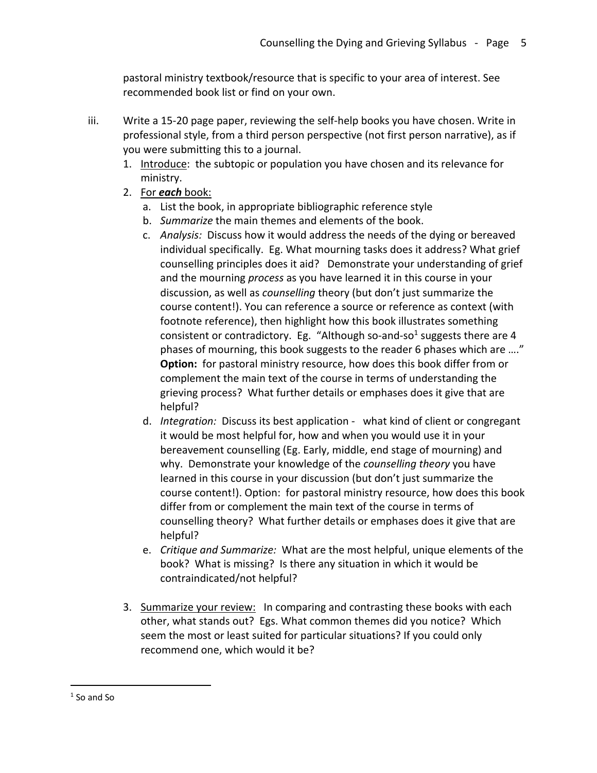pastoral ministry textbook/resource that is specific to your area of interest. See recommended book list or find on your own.

- iii. Write a 15-20 page paper, reviewing the self-help books you have chosen. Write in professional style, from a third person perspective (not first person narrative), as if you were submitting this to a journal.
	- 1. Introduce: the subtopic or population you have chosen and its relevance for ministry.
	- 2. For *each* book:
		- a. List the book, in appropriate bibliographic reference style
		- b. *Summarize* the main themes and elements of the book.
		- c. *Analysis:* Discuss how it would address the needs of the dying or bereaved individual specifically. Eg. What mourning tasks does it address? What grief counselling principles does it aid? Demonstrate your understanding of grief and the mourning *process* as you have learned it in this course in your discussion, as well as *counselling* theory (but don't just summarize the course content!). You can reference a source or reference as context (with footnote reference), then highlight how this book illustrates something consistent or contradictory. Eg. "Although so-and-so<sup>1</sup> suggests there are 4 phases of mourning, this book suggests to the reader 6 phases which are …." **Option:** for pastoral ministry resource, how does this book differ from or complement the main text of the course in terms of understanding the grieving process? What further details or emphases does it give that are helpful?
		- d. *Integration:* Discuss its best application what kind of client or congregant it would be most helpful for, how and when you would use it in your bereavement counselling (Eg. Early, middle, end stage of mourning) and why. Demonstrate your knowledge of the *counselling theory* you have learned in this course in your discussion (but don't just summarize the course content!). Option: for pastoral ministry resource, how does this book differ from or complement the main text of the course in terms of counselling theory? What further details or emphases does it give that are helpful?
		- e. *Critique and Summarize:* What are the most helpful, unique elements of the book? What is missing? Is there any situation in which it would be contraindicated/not helpful?
	- 3. Summarize your review: In comparing and contrasting these books with each other, what stands out? Egs. What common themes did you notice? Which seem the most or least suited for particular situations? If you could only recommend one, which would it be?

<sup>&</sup>lt;sup>1</sup> So and So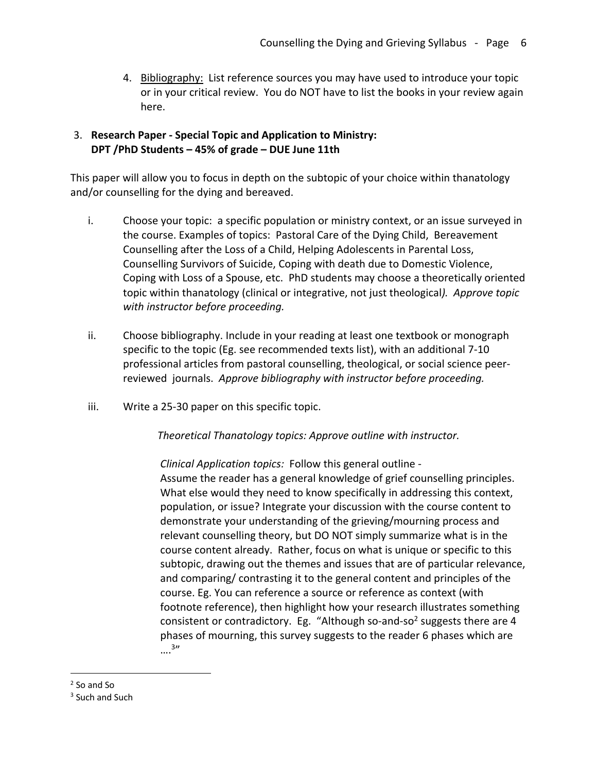4. Bibliography: List reference sources you may have used to introduce your topic or in your critical review. You do NOT have to list the books in your review again here.

### 3. **Research Paper - Special Topic and Application to Ministry: DPT /PhD Students – 45% of grade – DUE June 11th**

This paper will allow you to focus in depth on the subtopic of your choice within thanatology and/or counselling for the dying and bereaved.

- i. Choose your topic: a specific population or ministry context, or an issue surveyed in the course. Examples of topics: Pastoral Care of the Dying Child, Bereavement Counselling after the Loss of a Child, Helping Adolescents in Parental Loss, Counselling Survivors of Suicide, Coping with death due to Domestic Violence, Coping with Loss of a Spouse, etc. PhD students may choose a theoretically oriented topic within thanatology (clinical or integrative, not just theological*). Approve topic with instructor before proceeding.*
- ii. Choose bibliography. Include in your reading at least one textbook or monograph specific to the topic (Eg. see recommended texts list), with an additional 7-10 professional articles from pastoral counselling, theological, or social science peerreviewed journals. *Approve bibliography with instructor before proceeding.*
- iii. Write a 25-30 paper on this specific topic.

 *Theoretical Thanatology topics: Approve outline with instructor.*

*Clinical Application topics:* Follow this general outline - Assume the reader has a general knowledge of grief counselling principles. What else would they need to know specifically in addressing this context, population, or issue? Integrate your discussion with the course content to demonstrate your understanding of the grieving/mourning process and relevant counselling theory, but DO NOT simply summarize what is in the course content already. Rather, focus on what is unique or specific to this subtopic, drawing out the themes and issues that are of particular relevance, and comparing/ contrasting it to the general content and principles of the course. Eg. You can reference a source or reference as context (with footnote reference), then highlight how your research illustrates something consistent or contradictory. Eg. "Although so-and-so<sup>2</sup> suggests there are 4 phases of mourning, this survey suggests to the reader 6 phases which are ….3"

<sup>2</sup> So and So

<sup>&</sup>lt;sup>3</sup> Such and Such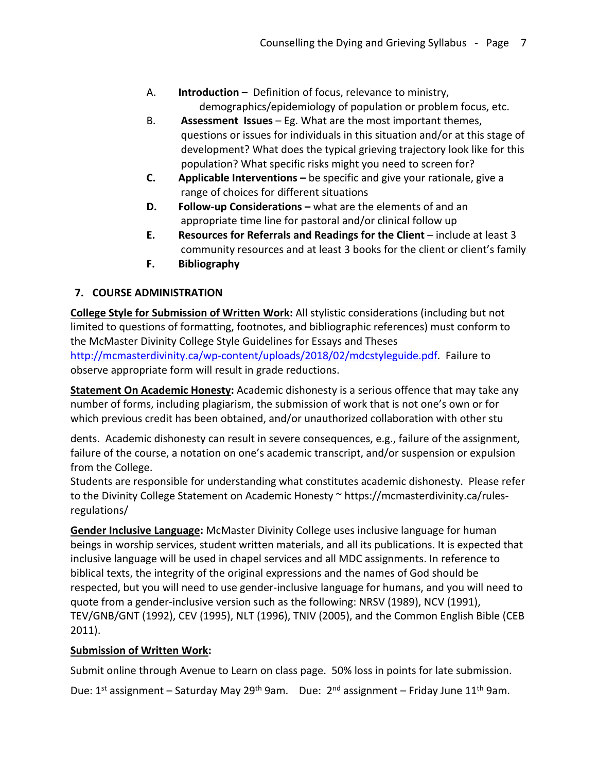- A. **Introduction** Definition of focus, relevance to ministry, demographics/epidemiology of population or problem focus, etc.
- B. **Assessment Issues** Eg. What are the most important themes, questions or issues for individuals in this situation and/or at this stage of development? What does the typical grieving trajectory look like for this population? What specific risks might you need to screen for?
- **C. Applicable Interventions –** be specific and give your rationale, give a range of choices for different situations
- **D. Follow-up Considerations –** what are the elements of and an appropriate time line for pastoral and/or clinical follow up
- **E. Resources for Referrals and Readings for the Client** include at least 3 community resources and at least 3 books for the client or client's family
- **F. Bibliography**

# **7. COURSE ADMINISTRATION**

**College Style for Submission of Written Work:** All stylistic considerations (including but not limited to questions of formatting, footnotes, and bibliographic references) must conform to the McMaster Divinity College Style Guidelines for Essays and Theses http://mcmasterdivinity.ca/wp-content/uploads/2018/02/mdcstyleguide.pdf. Failure to observe appropriate form will result in grade reductions.

**Statement On Academic Honesty:** Academic dishonesty is a serious offence that may take any number of forms, including plagiarism, the submission of work that is not one's own or for which previous credit has been obtained, and/or unauthorized collaboration with other stu

dents. Academic dishonesty can result in severe consequences, e.g., failure of the assignment, failure of the course, a notation on one's academic transcript, and/or suspension or expulsion from the College.

Students are responsible for understanding what constitutes academic dishonesty. Please refer to the Divinity College Statement on Academic Honesty ~ https://mcmasterdivinity.ca/rulesregulations/

**Gender Inclusive Language:** McMaster Divinity College uses inclusive language for human beings in worship services, student written materials, and all its publications. It is expected that inclusive language will be used in chapel services and all MDC assignments. In reference to biblical texts, the integrity of the original expressions and the names of God should be respected, but you will need to use gender-inclusive language for humans, and you will need to quote from a gender-inclusive version such as the following: NRSV (1989), NCV (1991), TEV/GNB/GNT (1992), CEV (1995), NLT (1996), TNIV (2005), and the Common English Bible (CEB 2011).

# **Submission of Written Work:**

Submit online through Avenue to Learn on class page. 50% loss in points for late submission.

Due:  $1^{st}$  assignment – Saturday May 29<sup>th</sup> 9am. Due:  $2^{nd}$  assignment – Friday June  $11^{th}$  9am.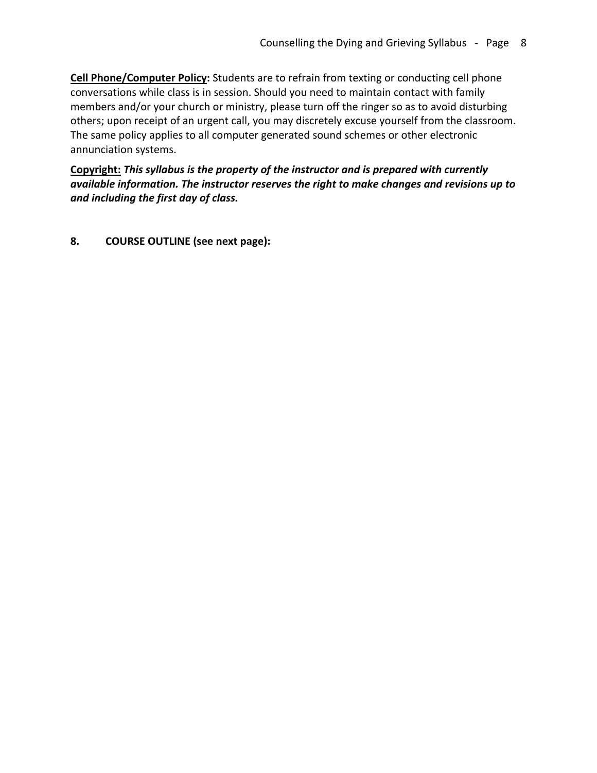**Cell Phone/Computer Policy:** Students are to refrain from texting or conducting cell phone conversations while class is in session. Should you need to maintain contact with family members and/or your church or ministry, please turn off the ringer so as to avoid disturbing others; upon receipt of an urgent call, you may discretely excuse yourself from the classroom. The same policy applies to all computer generated sound schemes or other electronic annunciation systems.

**Copyright:** *This syllabus is the property of the instructor and is prepared with currently available information. The instructor reserves the right to make changes and revisions up to and including the first day of class.*

**8. COURSE OUTLINE (see next page):**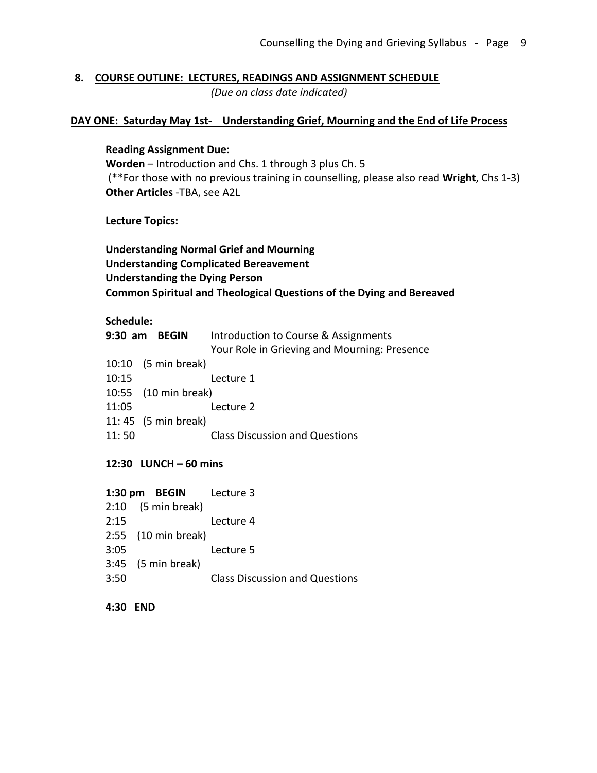### **8. COURSE OUTLINE: LECTURES, READINGS AND ASSIGNMENT SCHEDULE** *(Due on class date indicated)*

### **DAY ONE: Saturday May 1st- Understanding Grief, Mourning and the End of Life Process**

#### **Reading Assignment Due:**

**Worden** – Introduction and Chs. 1 through 3 plus Ch. 5 (\*\*For those with no previous training in counselling, please also read **Wright**, Chs 1-3) **Other Articles** -TBA, see A2L

**Lecture Topics:**

# **Understanding Normal Grief and Mourning Understanding Complicated Bereavement Understanding the Dying Person Common Spiritual and Theological Questions of the Dying and Bereaved**

### **Schedule:**

|       | 9:30 am BEGIN        | Introduction to Course & Assignments         |
|-------|----------------------|----------------------------------------------|
|       |                      | Your Role in Grieving and Mourning: Presence |
|       | 10:10 (5 min break)  |                                              |
| 10:15 |                      | Lecture 1                                    |
|       | 10:55 (10 min break) |                                              |
| 11:05 |                      | Lecture 2                                    |
|       | 11:45 (5 min break)  |                                              |
| 11:50 |                      | <b>Class Discussion and Questions</b>        |
|       |                      |                                              |

### **12:30 LUNCH – 60 mins**

| Lecture 4                                                                                      |
|------------------------------------------------------------------------------------------------|
|                                                                                                |
| Lecture 5                                                                                      |
|                                                                                                |
| <b>Class Discussion and Questions</b>                                                          |
| 1:30 pm BEGIN Lecture 3<br>$2:10$ (5 min break)<br>2:55 (10 min break)<br>$3:45$ (5 min break) |

#### **4:30 END**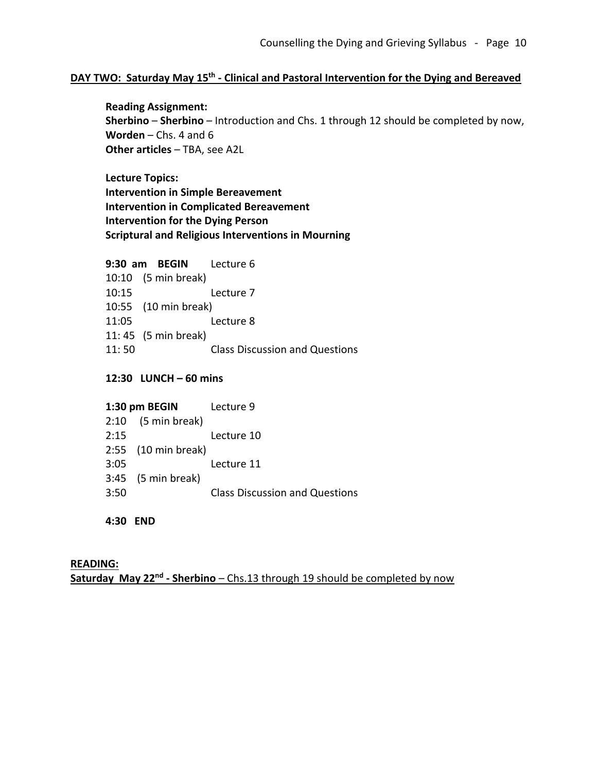# **DAY TWO: Saturday May 15th - Clinical and Pastoral Intervention for the Dying and Bereaved**

**Reading Assignment: Sherbino** – **Sherbino** – Introduction and Chs. 1 through 12 should be completed by now, **Worden** – Chs. 4 and 6 **Other articles** - TBA, see A2L

**Lecture Topics: Intervention in Simple Bereavement Intervention in Complicated Bereavement Intervention for the Dying Person Scriptural and Religious Interventions in Mourning**

#### **9:30 am BEGIN** Lecture 6

10:10 (5 min break) 10:15 Lecture 7 10:55 (10 min break) 11:05 Lecture 8 11: 45 (5 min break) 11: 50 Class Discussion and Questions

### **12:30 LUNCH – 60 mins**

#### **1:30 pm BEGIN** Lecture 9

|      | $2:10$ (5 min break) |                                       |
|------|----------------------|---------------------------------------|
| 2:15 |                      | Lecture 10                            |
|      | 2:55 (10 min break)  |                                       |
| 3:05 |                      | Lecture 11                            |
|      | $3:45$ (5 min break) |                                       |
| 3:50 |                      | <b>Class Discussion and Questions</b> |

### **4:30 END**

### **READING: Saturday May 22nd - Sherbino** – Chs.13 through 19 should be completed by now